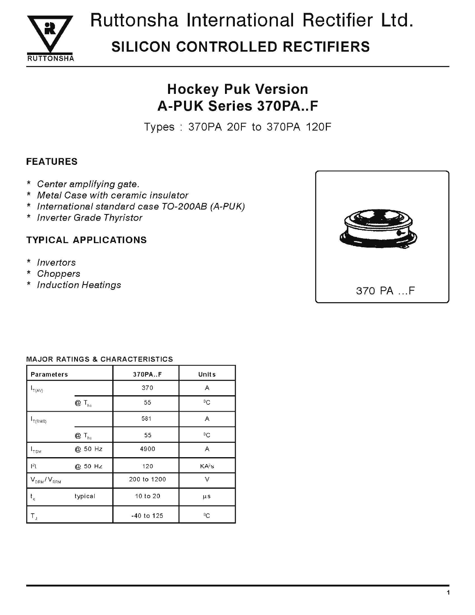

# Ruttonsha International Rectifier Ltd. **SILICON CONTROLLED RECTIFIERS**

## **Hockey Puk Version A-PUK Series 370PA..F**

Types: 370PA 20F to 370PA 120F

### **FEATURES**

- \* Center amplifying gate.
- \* Metal Case with ceramic insulator
- \* International standard case TO-200AB (A-PUK)
- \* Inverter Grade Thyristor

### **TYPICAL APPLICATIONS**

- \* Invertors
- Choppers  $\star$
- \* Induction Heatings



#### **MAJOR RATINGS & CHARACTERISTICS**

| <b>Parameters</b>           |                            | 370PA.F      | Units             |  |
|-----------------------------|----------------------------|--------------|-------------------|--|
| $I_{T(AV)}$                 |                            | 370          | A                 |  |
|                             | $@T_{hs}$                  | 55           | ${}^0C$           |  |
| T(RMS)                      |                            | 581          | $\overline{A}$    |  |
|                             | $Q \mathsf{T}_{\text{hs}}$ | 55           | $\rm ^{0}C$       |  |
| $I_{\rm TSM}$               | @ 50 Hz                    | 4900         | A                 |  |
| $ ^{2}$ t                   | @ 50 Hz                    | 120          | KA <sup>2</sup> s |  |
| $V_{DRM}/V_{RRM}$           |                            | 200 to 1200  | ν                 |  |
| $\mathbf{t}_{\mathfrak{q}}$ | typical                    | 10 to 20     | $\mu$ s           |  |
| T,                          |                            | $-40$ to 125 | °C                |  |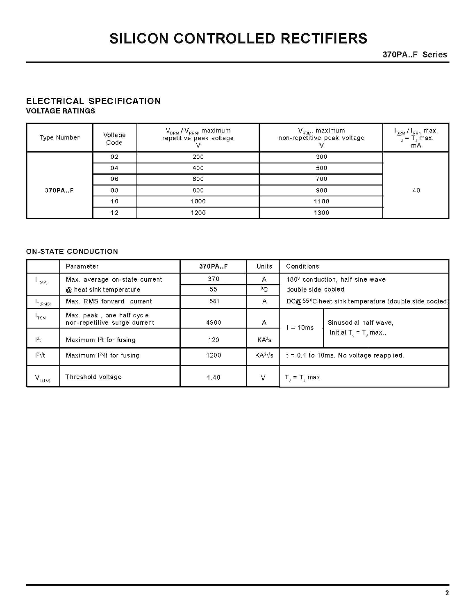370PA..F Series

#### ELECTRICAL SPECIFICATION **VOLTAGE RATINGS**

| Type Number | Voltage<br>Code | $\rm V_{\rm DRM}$ / $\rm V_{\rm RRM}$ , maximum<br>repetitive peak voltage | $\rm V_{\rm\scriptscriptstyle RSM}$ , maximum<br>non-repetitive peak voltage | $I_{DRM} I_{RRM}$ max.<br>$T_i = T_i$ max.<br>m <sub>A</sub> |
|-------------|-----------------|----------------------------------------------------------------------------|------------------------------------------------------------------------------|--------------------------------------------------------------|
|             | 02              | 200                                                                        | 300                                                                          |                                                              |
|             | 04              | 400                                                                        | 500                                                                          |                                                              |
|             | 06              | 600                                                                        | 700                                                                          |                                                              |
| 370PA.F     | 08              | 800                                                                        | 900                                                                          | 40                                                           |
|             | 10              | 1000                                                                       | 1100                                                                         |                                                              |
|             | 12              | 1200                                                                       | 1300                                                                         |                                                              |

#### **ON-STATE CONDUCTION**

|                                         | Parameter                                                 | 370PA.F | Units                            | Conditions                               |                                                                 |
|-----------------------------------------|-----------------------------------------------------------|---------|----------------------------------|------------------------------------------|-----------------------------------------------------------------|
| $I_{T(AV)}$                             | Max. average on-state current                             | 370     | A                                |                                          | $1800$ conduction, half sine wave                               |
|                                         | @ heat sink temperature                                   | 55      | ${}^{0}C$                        | double side cooled                       |                                                                 |
| $\mathsf{L}_{\mathsf{T}}(\mathsf{RMS})$ | Max. RMS forward current                                  | 581     | A                                |                                          | DC@55 <sup>0</sup> C heat sink temperature (double side cooled) |
| $I_{\text{TSM}}$                        | Max. peak, one half cycle<br>non-repetitive surge current | 4900    | A                                | $= 10ms$                                 | Sinusodial half wave,<br>Initial $T_{J} = T_{J}$ max.,          |
| $l^2t$                                  | Maximum $12t$ for fusing                                  | 120     | KA <sup>2</sup> S                |                                          |                                                                 |
| $12\sqrt{t}$                            | Maximum $12\sqrt{t}$ for fusing                           | 1200    | $\mathsf{KA}^2\sqrt{\mathsf{s}}$ | $t = 0.1$ to 10ms. No voltage reapplied. |                                                                 |
| $V_{T(TO)}$                             | Threshold voltage                                         | 1.40    | $\vee$                           | $T_{\rm J}$ max.                         |                                                                 |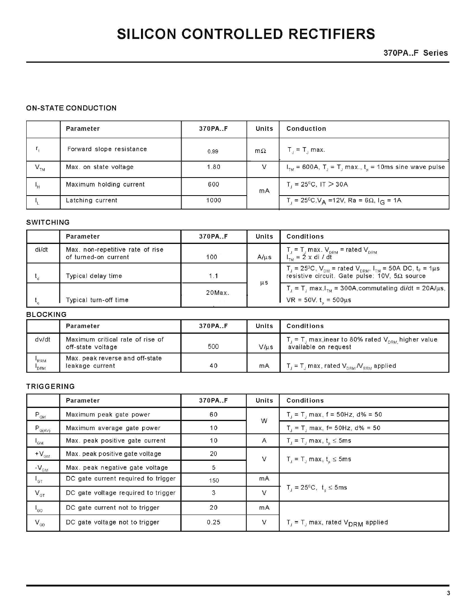370PA..F Series

#### **ON-STATE CONDUCTION**

|                            | Parameter                | 370PA.F | Units     | Conduction                                                                                |
|----------------------------|--------------------------|---------|-----------|-------------------------------------------------------------------------------------------|
| $r_{\rm f}$                | Forward slope resistance | 0.99    | $m\Omega$ | $\Gamma_{\rm d}$ = T <sub>1</sub> max.                                                    |
| $\mathsf{V}_{\mathrm{TM}}$ | Max. on state voltage    | 1.80    | V         | $ITM$ = 600A, T <sub>J</sub> = T <sub>J</sub> max., t <sub>p</sub> = 10ms sine wave pulse |
| $\mathbf{H}$               | Maximum holding current  | 600     | mA        | $\Gamma_1 = 25^{\circ}$ C, IT $> 30A$                                                     |
|                            | Latching current         | 1000    |           | $\Gamma_{\rm j}$ = 25ºC,V <sub>A</sub> =12V, Ra = 6Ω, I <sub>G</sub> = 1A.                |

#### **SWITCHING**

|       | Parameter                                                | 370PA.F   | Units     | Conditions                                                                                                                                                                         |
|-------|----------------------------------------------------------|-----------|-----------|------------------------------------------------------------------------------------------------------------------------------------------------------------------------------------|
| di/dt | Max. non-repetitive rate of rise<br>of turned-on current | 100       | $A/\mu s$ | $T_{\rm J}$ = $T_{\rm J}$ max. $V_{\rm DRM}$ = rated $V_{\rm DRM}$<br>$I_{\tau_{M}} = 2 \times di / dt$                                                                            |
|       | Typical delay time                                       | 1 1       |           | $T_J = 25^{\circ}\text{C}$ , $V_{DM} = \text{rated } V_{DRM}$ , $I_{TM} = 50\text{A } \text{DC}$ , $t_p = 1\mu\text{s}$<br>resistive circuit. Gate pulse: $10V$ , $5\Omega$ source |
|       | Typical turn-off time                                    | $20$ Max. | $\mu$ s   | $T_{\text{J}} = T_{\text{J}}$ max, $I_{\text{TM}} = 300$ A, commutating di/dt = 20A/ $\mu$ s,<br>$VR = 50V$ . $t = 500 \mu s$                                                      |

#### **BLOCKING**

|                   | Parameter                                             | 370PA.F | Units     | Conditions                                                                         |
|-------------------|-------------------------------------------------------|---------|-----------|------------------------------------------------------------------------------------|
| dv/dt             | Maximum critical rate of rise of<br>off-state voltage | 500     | $V/\mu s$ | $f_r = T_1$ max, inear to 80% rated $V_{DRM}$ higher value<br>available on request |
| <b>RRM</b><br>DRM | Max. peak reverse and off-state<br>leakage current    | 40      | mA        | $f_{\rm d}$ = T <sub>a</sub> max, rated $V_{\rm DRM}$ $N_{\rm RRM}$ applied        |

#### TRIGGERING

|                                              | Parameter                           | 370PA.F | <b>Units</b> | <b>Conditions</b>                                             |
|----------------------------------------------|-------------------------------------|---------|--------------|---------------------------------------------------------------|
| $\mathsf{P}_{\mathsf{GM}}$                   | Maximum peak gate power             | 60      | W            | $T_1 = T_1$ max, f = 50Hz, d% = 50                            |
| $P_{G(A\vee)}$                               | Maximum average gate power          | 10      |              | $T_1 = T_1$ max, f= 50Hz, d% = 50                             |
| $I_{GM}$                                     | Max. peak positive gate current     | 10      | A            | $T_{\text{J}} = T_{\text{J}}$ max, $t_{\text{n}} \leq 5$ ms   |
| $+V_{\text{GM}}$                             | Max. peak positive gate voltage     | 20      | $\vee$       | $T_{j} = T_{j}$ max, $t_{p} \le 5$ ms                         |
| $-V_{\text{GM}}$                             | Max. peak negative gate voltage     | 5       |              |                                                               |
| $\mathsf{I}_{\mathsf{GT}}$                   | DC gate current required to trigger | 150     | mA           |                                                               |
| $V_{\text{GT}}$                              | DC gate voltage required to trigger | 3       | V            | $T_{d} = 25^{0}C, t_{n} \le 5$ ms                             |
| $\mathsf{I}_{\mathsf{GD}}$                   | DC gate current not to trigger      | 20      | mA           |                                                               |
| $\mathsf{V}_{\scriptscriptstyle\mathsf{GD}}$ | DC gate voltage not to trigger      | 0.25    | V            | $T_{\rm J}$ = T <sub>J</sub> max, rated $V_{\rm DRM}$ applied |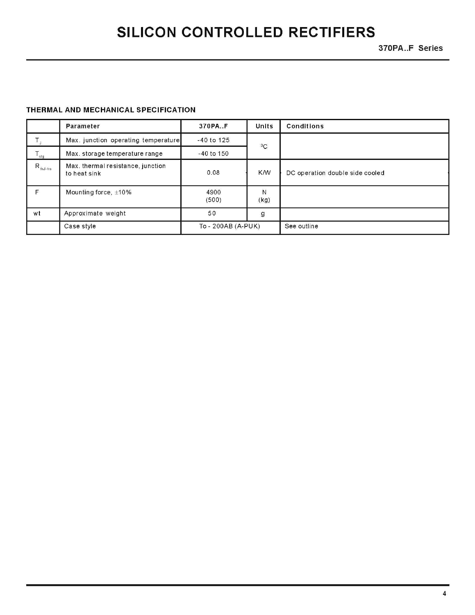370PA..F Series

#### THERMAL AND MECHANICAL SPECIFICATION

|                              | Parameter                                         | 370PA.F            | <b>Units</b> | <b>Conditions</b>               |
|------------------------------|---------------------------------------------------|--------------------|--------------|---------------------------------|
|                              | Max. junction operating temperature               | $-40$ to 125       | ${}^{0}C$    |                                 |
| $T_{\text{stg}}$             | Max. storage temperature range                    | $-40$ to $150$     |              |                                 |
| $\mathsf{R}_{\text{thJ-hs}}$ | Max. thermal resistance, junction<br>to heat sink | 0.08               | <b>K/W</b>   | DC operation double side cooled |
| F.                           | Mounting force, $\pm 10\%$                        | 4900<br>(500)      | Ν<br>(kg)    |                                 |
| wt                           | Approximate weight                                | 50                 | $\mathsf{g}$ |                                 |
|                              | Case style                                        | To - 200AB (A-PUK) |              | See outline                     |

4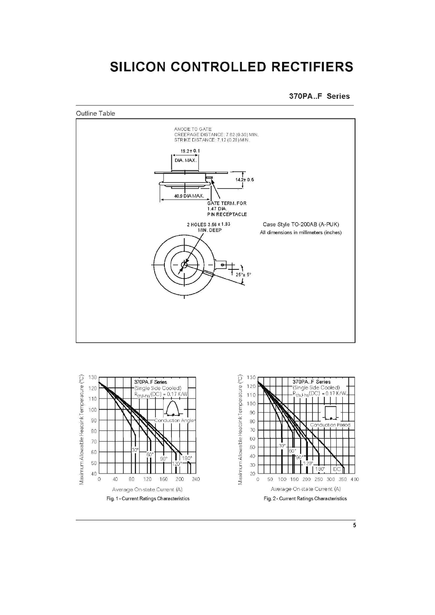370PA..F Series





 $\sqrt{5}$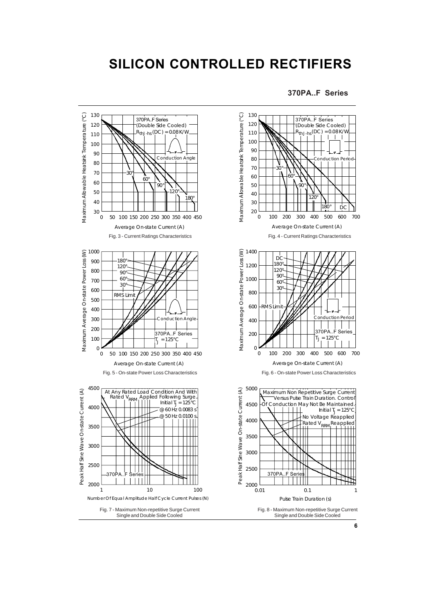#### **370PA..F Series**



**6**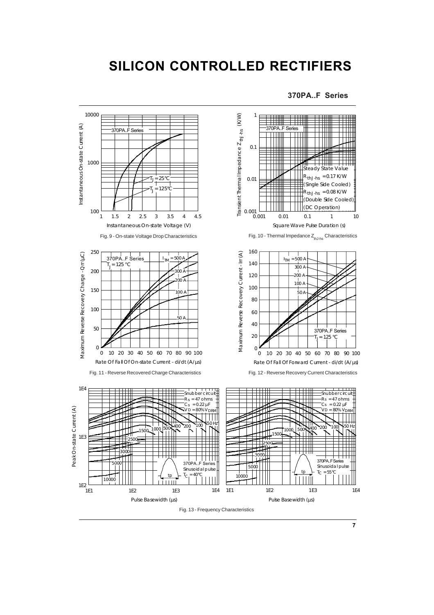



**7**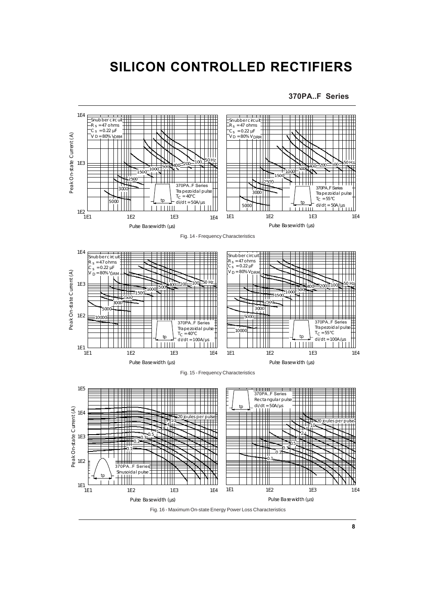**370PA..F Series**